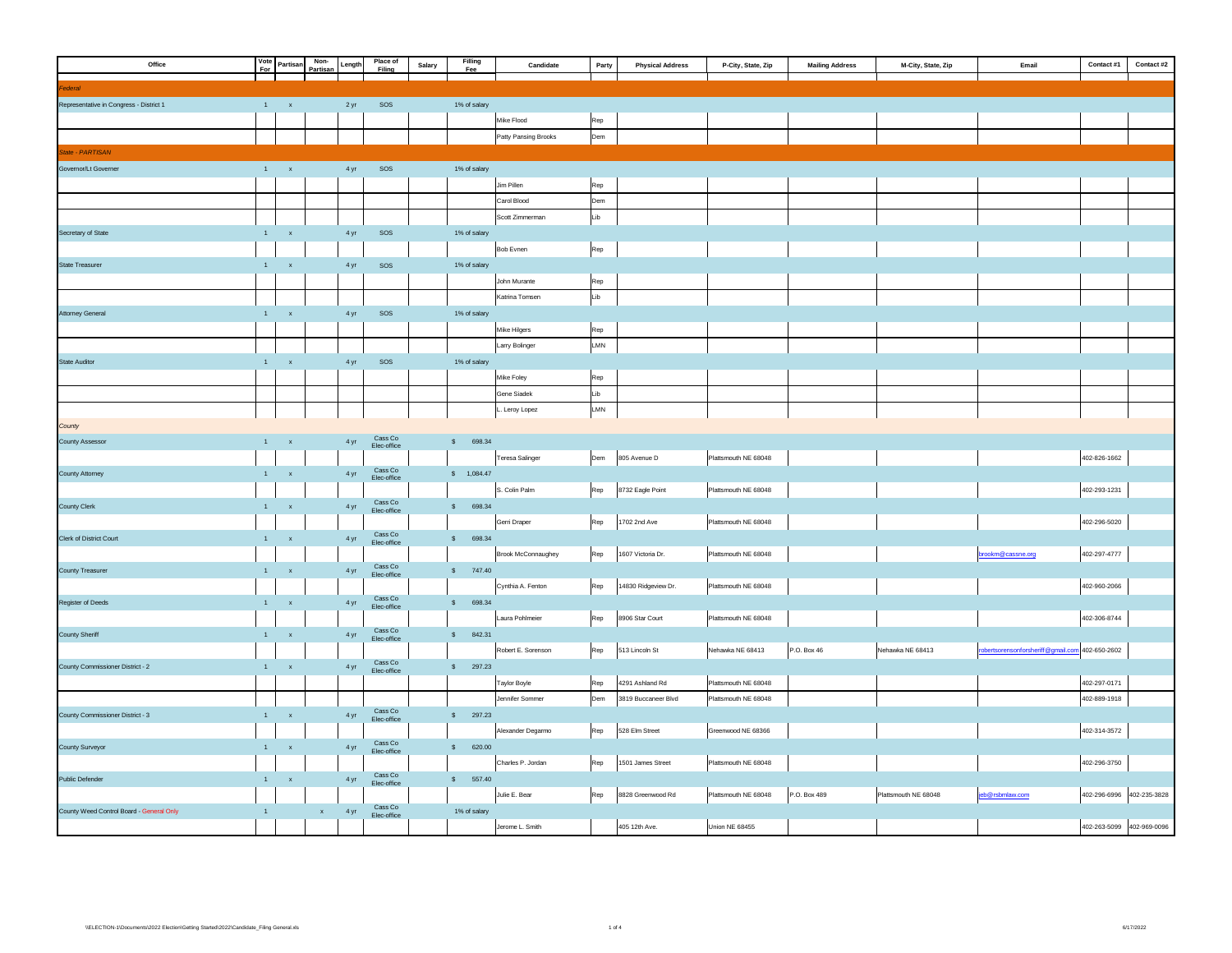| Office                                   |              | Vote<br>For<br>Partisan        | Non-<br>Partisan | Length | Place of<br>Filing           | Salary | Filling<br>Fee | Candidate            | Party       | <b>Physical Address</b> | P-City, State, Zip   | <b>Mailing Address</b> | M-City, State, Zip   | Email                                          | Contact #1   | Contact #2   |
|------------------------------------------|--------------|--------------------------------|------------------|--------|------------------------------|--------|----------------|----------------------|-------------|-------------------------|----------------------|------------------------|----------------------|------------------------------------------------|--------------|--------------|
|                                          |              |                                |                  |        |                              |        |                |                      |             |                         |                      |                        |                      |                                                |              |              |
| ederal                                   |              |                                |                  |        |                              |        |                |                      |             |                         |                      |                        |                      |                                                |              |              |
| Representative in Congress - District 1  |              | $1 - x$                        |                  | 2 yr   | sos                          |        | 1% of salary   |                      |             |                         |                      |                        |                      |                                                |              |              |
|                                          |              |                                |                  |        |                              |        |                | Mike Flood           | Rep         |                         |                      |                        |                      |                                                |              |              |
|                                          |              |                                |                  |        |                              |        |                | Patty Pansing Brooks | Dem         |                         |                      |                        |                      |                                                |              |              |
| State - PARTISAN                         |              |                                |                  |        |                              |        |                |                      |             |                         |                      |                        |                      |                                                |              |              |
| Governor/Lt Governer                     | $\mathbf{1}$ | $\parallel$ x                  |                  | 4 yr   | SOS                          |        | 1% of salary   |                      |             |                         |                      |                        |                      |                                                |              |              |
|                                          |              |                                |                  |        |                              |        |                | Jim Pillen           | Rep         |                         |                      |                        |                      |                                                |              |              |
|                                          |              |                                |                  |        |                              |        |                | Carol Blood          | Dem         |                         |                      |                        |                      |                                                |              |              |
|                                          |              |                                |                  |        |                              |        |                | Scott Zimmerman      | Lib         |                         |                      |                        |                      |                                                |              |              |
| Secretary of State                       |              | $1 \qquad \quad x$             |                  | 4 yr   | sos                          |        | 1% of salary   |                      |             |                         |                      |                        |                      |                                                |              |              |
|                                          |              |                                |                  |        |                              |        |                | Bob Evnen            | Rep         |                         |                      |                        |                      |                                                |              |              |
| <b>State Treasurer</b>                   | $1 -$        | $\mathbf{x}$                   |                  | 4 yr   | sos                          |        | 1% of salary   |                      |             |                         |                      |                        |                      |                                                |              |              |
|                                          |              |                                |                  |        |                              |        |                | John Murante         | Rep         |                         |                      |                        |                      |                                                |              |              |
|                                          |              |                                |                  |        |                              |        |                | Katrina Tomsen       | Lib         |                         |                      |                        |                      |                                                |              |              |
| <b>Attorney General</b>                  |              | $1 - x$                        |                  | 4 yr   | sos                          |        | 1% of salary   |                      |             |                         |                      |                        |                      |                                                |              |              |
|                                          |              |                                |                  |        |                              |        |                | Mike Hilgers         | Rep         |                         |                      |                        |                      |                                                |              |              |
|                                          |              |                                |                  |        |                              |        |                | Larry Bolinger       | LMN         |                         |                      |                        |                      |                                                |              |              |
| State Auditor                            |              | $1 - x$                        |                  | 4 yr   | SOS                          |        | 1% of salary   |                      |             |                         |                      |                        |                      |                                                |              |              |
|                                          |              |                                |                  |        |                              |        |                | Mike Foley           | Rep         |                         |                      |                        |                      |                                                |              |              |
|                                          |              |                                |                  |        |                              |        |                | Gene Siadek          | Lib         |                         |                      |                        |                      |                                                |              |              |
|                                          |              |                                |                  |        |                              |        |                | Leroy Lopez          | ${\sf LMN}$ |                         |                      |                        |                      |                                                |              |              |
| County                                   |              |                                |                  |        |                              |        |                |                      |             |                         |                      |                        |                      |                                                |              |              |
| <b>County Assessor</b>                   | 1            | $\mathbf{x}$                   |                  | 4 yr   | $\sf Cass~Co$<br>Elec-office |        | \$ 698.34      |                      |             |                         |                      |                        |                      |                                                |              |              |
|                                          |              |                                |                  |        |                              |        |                | Teresa Salinger      | Dem         | 805 Avenue D            | Plattsmouth NE 68048 |                        |                      |                                                | 402-826-1662 |              |
| <b>County Attorney</b>                   | $1 -$        | $\mathbf{x}$                   |                  | 4 yr   | Cass Co<br>Elec-office       |        | \$ 1,084.47    |                      |             |                         |                      |                        |                      |                                                |              |              |
|                                          |              |                                |                  |        |                              |        |                | S. Colin Palm        | Rep         | 8732 Eagle Point        | Plattsmouth NE 68048 |                        |                      |                                                | 402-293-1231 |              |
| County Clerk                             |              | $1 - x$                        |                  | 4 yr   | Cass Co<br>Elec-office       |        | \$ 698.34      |                      |             |                         |                      |                        |                      |                                                |              |              |
|                                          |              |                                |                  |        |                              |        |                | Gerri Draper         | Rep         | 1702 2nd Ave            | Plattsmouth NE 68048 |                        |                      |                                                | 402-296-5020 |              |
| Clerk of District Court                  |              | $1 - x$                        |                  | 4 yr   | $\sf Cass~Co$<br>Elec-office |        | \$698.34       |                      |             |                         |                      |                        |                      |                                                |              |              |
|                                          |              |                                |                  |        |                              |        |                | Brook McConnaughey   | Rep         | 1607 Victoria Dr.       | Plattsmouth NE 68048 |                        |                      | brookm@cassne.org                              | 402-297-4777 |              |
| County Treasurer                         |              | $1\leq \ldots \leq \mathsf{x}$ |                  | 4 yr   | Cass Co<br>Elec-office       |        | \$747.40       |                      |             |                         |                      |                        |                      |                                                |              |              |
|                                          |              |                                |                  |        |                              |        |                | Cynthia A. Fenton    | Rep         | 14830 Ridgeview Dr.     | Plattsmouth NE 68048 |                        |                      |                                                | 402-960-2066 |              |
| Register of Deeds                        | $1 -$        | $\mathbf{x}$                   |                  | 4 yr   | Cass Co<br>Elec-office       |        | \$ 698.34      |                      |             |                         |                      |                        |                      |                                                |              |              |
|                                          |              |                                |                  |        |                              |        |                | Laura Pohlmeier      | Rep         | 8906 Star Court         | Plattsmouth NE 68048 |                        |                      |                                                | 402-306-8744 |              |
| County Sheriff                           |              | $\mathbf{1}$ , $\mathbf{x}$    |                  | 4 yr   | $\sf Cass~Co$                |        | \$ 842.31      |                      |             |                         |                      |                        |                      |                                                |              |              |
|                                          |              |                                |                  |        | Elec-office                  |        |                | Robert E. Sorenson   | Rep         | 513 Lincoln St          | Nehawka NE 68413     | P.O. Box 46            | Nehawka NE 68413     | obertsorensonforsheriff@gmail.com 402-650-2602 |              |              |
| County Commissioner District - 2         |              | $1 - x$                        |                  | 4 yr   | Cass Co<br>Elec-office       |        | \$ 297.23      |                      |             |                         |                      |                        |                      |                                                |              |              |
|                                          |              |                                |                  |        |                              |        |                | Taylor Boyle         | Rep         | 4291 Ashland Rd         | Plattsmouth NE 68048 |                        |                      |                                                | 402-297-0171 |              |
|                                          |              |                                |                  |        |                              |        |                | Jennifer Sommer      | Dem         | 3819 Buccaneer Blvd     | Plattsmouth NE 68048 |                        |                      |                                                | 402-889-1918 |              |
| County Commissioner District - 3         |              | $1 - x$                        |                  | 4 yr   | Cass Co<br>Elec-office       |        | \$ 297.23      |                      |             |                         |                      |                        |                      |                                                |              |              |
|                                          |              |                                |                  |        |                              |        |                | Alexander Degarmo    | Rep         | 528 Elm Street          | Greenwood NE 68366   |                        |                      |                                                | 402-314-3572 |              |
| County Surveyor                          |              | $1 - x$                        |                  | 4 yr   | $\sf Cass~Co$                |        | \$ 620.00      |                      |             |                         |                      |                        |                      |                                                |              |              |
|                                          |              |                                |                  |        | Elec-office                  |        |                | Charles P. Jordan    | Rep         | 1501 James Street       | Plattsmouth NE 68048 |                        |                      |                                                | 402-296-3750 |              |
| Public Defender                          |              | $1\leq \ldots \leq x$ .        |                  | 4 yr   | Cass Co                      |        | \$557.40       |                      |             |                         |                      |                        |                      |                                                |              |              |
|                                          |              |                                |                  |        | Elec-office                  |        |                | Julie E. Bear        | Rep         | 8828 Greenwood Rd       | Plattsmouth NE 68048 | P.O. Box 489           | Plattsmouth NE 68048 | eb@rsbmlaw.com                                 | 402-296-6996 | 402-235-3828 |
| County Weed Control Board - General Only | $\mathbf{1}$ |                                | $\mathbf{x}$     |        | Cass Co                      |        | 1% of salary   |                      |             |                         |                      |                        |                      |                                                |              |              |
|                                          |              |                                |                  | 4 yr   | Elec-office                  |        |                | Jerome L. Smith      |             | 405 12th Ave.           | Union NE 68455       |                        |                      |                                                | 402-263-5099 | 402-969-0096 |
|                                          |              |                                |                  |        |                              |        |                |                      |             |                         |                      |                        |                      |                                                |              |              |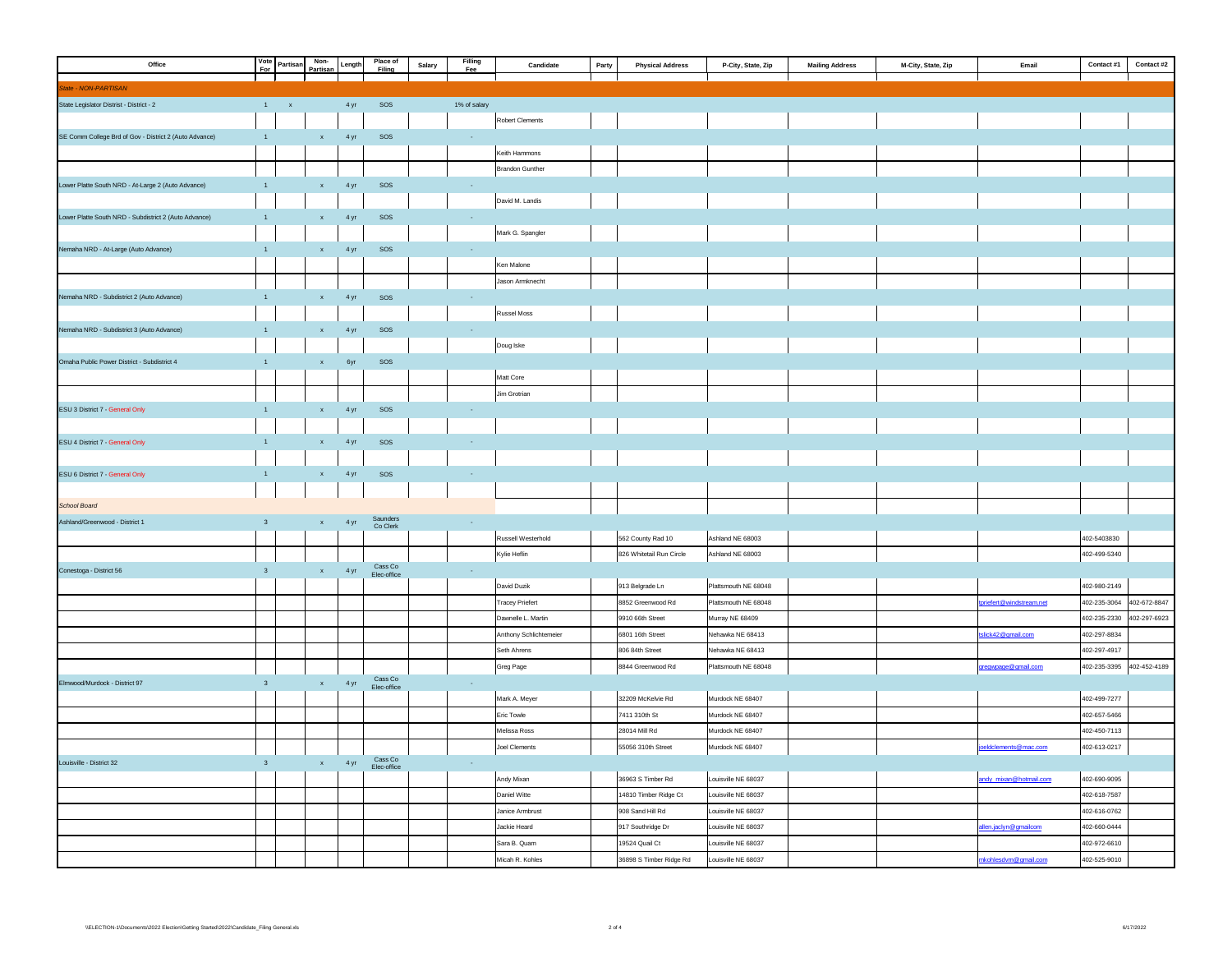| Office                                                 |                         | Non-<br>Vote<br>For Partisan<br>Partisan | Length     | Place of<br>Filing   | Salary | Filling<br>Fee | Candidate              | Party<br><b>Physical Address</b> | P-City, State, Zip   | <b>Mailing Address</b> | M-City, State, Zip | Email                   | Contact #1   | Contact #2   |
|--------------------------------------------------------|-------------------------|------------------------------------------|------------|----------------------|--------|----------------|------------------------|----------------------------------|----------------------|------------------------|--------------------|-------------------------|--------------|--------------|
|                                                        |                         |                                          |            |                      |        |                |                        |                                  |                      |                        |                    |                         |              |              |
| State - NON-PARTISAN                                   |                         |                                          |            |                      |        |                |                        |                                  |                      |                        |                    |                         |              |              |
| State Legislator Distrist - District - 2               |                         | $1 - x$                                  | 4 yr       | SOS                  |        | 1% of salary   |                        |                                  |                      |                        |                    |                         |              |              |
|                                                        |                         |                                          |            |                      |        |                | Robert Clements        |                                  |                      |                        |                    |                         |              |              |
| SE Comm College Brd of Gov - District 2 (Auto Advance) | $\mathbf{1}$            | $\mathbf{x}$                             | 4 yr       | $_{\rm SOS}$         |        | $\sim$         |                        |                                  |                      |                        |                    |                         |              |              |
|                                                        |                         |                                          |            |                      |        |                | Keith Hammons          |                                  |                      |                        |                    |                         |              |              |
|                                                        |                         |                                          |            |                      |        |                | Brandon Gunther        |                                  |                      |                        |                    |                         |              |              |
| Lower Platte South NRD - At-Large 2 (Auto Advance)     | $\overline{1}$          | $\mathbf{x}$ .                           | 4 yr       | sos                  |        | $\sim$         |                        |                                  |                      |                        |                    |                         |              |              |
|                                                        |                         |                                          |            |                      |        |                | David M. Landis        |                                  |                      |                        |                    |                         |              |              |
| Lower Platte South NRD - Subdistrict 2 (Auto Advance)  | $\blacksquare$          | $\mathbf{x}$ .                           | 4 yr       | sos                  |        | $\sim$         |                        |                                  |                      |                        |                    |                         |              |              |
|                                                        |                         |                                          |            |                      |        |                | Mark G. Spangler       |                                  |                      |                        |                    |                         |              |              |
| Nemaha NRD - At-Large (Auto Advance)                   | $\blacksquare$          | $\mathbf{x}$                             | 4 yr       | sos                  |        | $\sim$         |                        |                                  |                      |                        |                    |                         |              |              |
|                                                        |                         |                                          |            |                      |        |                | Ken Malone             |                                  |                      |                        |                    |                         |              |              |
|                                                        |                         |                                          |            |                      |        |                | Jason Armknecht        |                                  |                      |                        |                    |                         |              |              |
| Nemaha NRD - Subdistrict 2 (Auto Advance)              | $\overline{1}$          | $\mathbf{x}$                             | 4 yr       | sos                  |        | $\sim$         |                        |                                  |                      |                        |                    |                         |              |              |
|                                                        |                         |                                          |            |                      |        |                | <b>Russel Moss</b>     |                                  |                      |                        |                    |                         |              |              |
| Nemaha NRD - Subdistrict 3 (Auto Advance)              | $\blacksquare$          | $\mathbf{x}$                             | 4 yr       | sos                  |        | $\sim$         |                        |                                  |                      |                        |                    |                         |              |              |
|                                                        |                         |                                          |            |                      |        |                | Doug Iske              |                                  |                      |                        |                    |                         |              |              |
| Omaha Public Power District - Subdistrict 4            | $\mathbf{1}$            | $\mathbf{x}$                             | 6yr        | sos                  |        |                |                        |                                  |                      |                        |                    |                         |              |              |
|                                                        |                         |                                          |            |                      |        |                | Matt Core              |                                  |                      |                        |                    |                         |              |              |
|                                                        |                         |                                          |            |                      |        |                | Jim Grotrian           |                                  |                      |                        |                    |                         |              |              |
| ESU 3 District 7 - General Only                        | $\overline{1}$          | $\mathbf{x}$                             | 4 yr       | sos                  |        | $\sim$         |                        |                                  |                      |                        |                    |                         |              |              |
|                                                        |                         |                                          |            |                      |        |                |                        |                                  |                      |                        |                    |                         |              |              |
| ESU 4 District 7 - General Only                        | $\blacksquare$          | $\mathbf{x}$                             | 4 yr       | sos                  |        | $\sim$         |                        |                                  |                      |                        |                    |                         |              |              |
|                                                        |                         |                                          |            |                      |        |                |                        |                                  |                      |                        |                    |                         |              |              |
| ESU 6 District 7 - General Only                        | $\overline{1}$          | $\mathbf{x}$                             | 4 yr       | sos                  |        | $\sim$         |                        |                                  |                      |                        |                    |                         |              |              |
|                                                        |                         |                                          |            |                      |        |                |                        |                                  |                      |                        |                    |                         |              |              |
| School Board                                           |                         |                                          |            |                      |        |                |                        |                                  |                      |                        |                    |                         |              |              |
| Ashland/Greenwood - District 1                         | $\mathbf{3}$            | $\mathbf x$                              | 4 yr       | Saunders<br>Co Clerk |        | $\sim 10^{-1}$ |                        |                                  |                      |                        |                    |                         |              |              |
|                                                        |                         |                                          |            |                      |        |                | Russell Westerhold     | 562 County Rad 10                | Ashland NE 68003     |                        |                    |                         | 402-5403830  |              |
|                                                        |                         |                                          |            | $\sf Cass~Co$        |        |                | Kylie Heflin           | 826 Whitetail Run Circle         | Ashland NE 68003     |                        |                    |                         | 402-499-5340 |              |
| Conestoga - District 56                                | $\overline{\mathbf{3}}$ |                                          | $x = 4 yr$ | Elec-office          |        | $\sim$         |                        |                                  |                      |                        |                    |                         |              |              |
|                                                        |                         |                                          |            |                      |        |                | David Duzik            | 913 Belgrade Ln                  | Plattsmouth NE 68048 |                        |                    |                         | 402-980-2149 |              |
|                                                        |                         |                                          |            |                      |        |                | <b>Tracey Priefert</b> | 8852 Greenwood Rd                | Plattsmouth NE 68048 |                        |                    | priefert@windstream.net | 402-235-3064 | 402-672-8847 |
|                                                        |                         |                                          |            |                      |        |                | Dawnelle L. Martin     | 9910 66th Street                 | Murray NE 68409      |                        |                    |                         | 402-235-2330 | 402-297-6923 |
|                                                        |                         |                                          |            |                      |        |                | Anthony Schlichtemeier | 6801 16th Street                 | Nehawka NE 68413     |                        |                    | tslick42@gmail.com      | 402-297-8834 |              |
|                                                        |                         |                                          |            |                      |        |                | Seth Ahrens            | 806 84th Street                  | Nehawka NE 68413     |                        |                    |                         | 402-297-4917 |              |
|                                                        |                         |                                          |            | Cass Co              |        |                | Greg Page              | 8844 Greenwood Rd                | Plattsmouth NE 68048 |                        |                    | gregwpage@gmail.com     | 402-235-3395 | 402-452-4189 |
| Elmwood/Murdock - District 97                          | $\overline{\mathbf{3}}$ |                                          | $x = 4 yr$ | Elec-office          |        | $\sim$         |                        |                                  |                      |                        |                    |                         |              |              |
|                                                        |                         |                                          |            |                      |        |                | Mark A. Meyer          | 32209 McKelvie Rd                | Murdock NE 68407     |                        |                    |                         | 402-499-7277 |              |
|                                                        |                         |                                          |            |                      |        |                | Eric Towle             | 7411 310th St                    | Murdock NE 68407     |                        |                    |                         | 402-657-5466 |              |
|                                                        |                         |                                          |            |                      |        |                | Melissa Ross           | 28014 Mill Rd                    | Murdock NE 68407     |                        |                    |                         | 402-450-7113 |              |
|                                                        |                         |                                          |            | Cass Co              |        |                | <b>Joel Clements</b>   | 55056 310th Street               | Murdock NE 68407     |                        |                    | joeldclements@mac.com   | 402-613-0217 |              |
| Louisville - District 32                               | $\overline{\mathbf{3}}$ |                                          | $x = 4 yr$ | Elec-office          |        | $\sim$         |                        |                                  |                      |                        |                    |                         |              |              |
|                                                        |                         |                                          |            |                      |        |                | Andy Mixan             | 36963 S Timber Rd                | Louisville NE 68037  |                        |                    | andy_mixan@hotmail.com  | 402-690-9095 |              |
|                                                        |                         |                                          |            |                      |        |                | Daniel Witte           | 14810 Timber Ridge Ct            | Louisville NE 68037  |                        |                    |                         | 402-618-7587 |              |
|                                                        |                         |                                          |            |                      |        |                | Janice Armbrust        | 908 Sand Hill Rd                 | Louisville NE 68037  |                        |                    |                         | 402-616-0762 |              |
|                                                        |                         |                                          |            |                      |        |                | Jackie Heard           | 917 Southridge Dr                | Louisville NE 68037  |                        |                    | allen.jaclyn@gmailcom   | 402-660-0444 |              |
|                                                        |                         |                                          |            |                      |        |                | Sara B. Quam           | 19524 Quail Ct                   | Louisville NE 68037  |                        |                    |                         | 402-972-6610 |              |
|                                                        |                         |                                          |            |                      |        |                | Micah R. Kohles        | 36898 S Timber Ridge Rd          | Louisville NE 68037  |                        |                    | mkohlesdvm@gmail.com    | 402-525-9010 |              |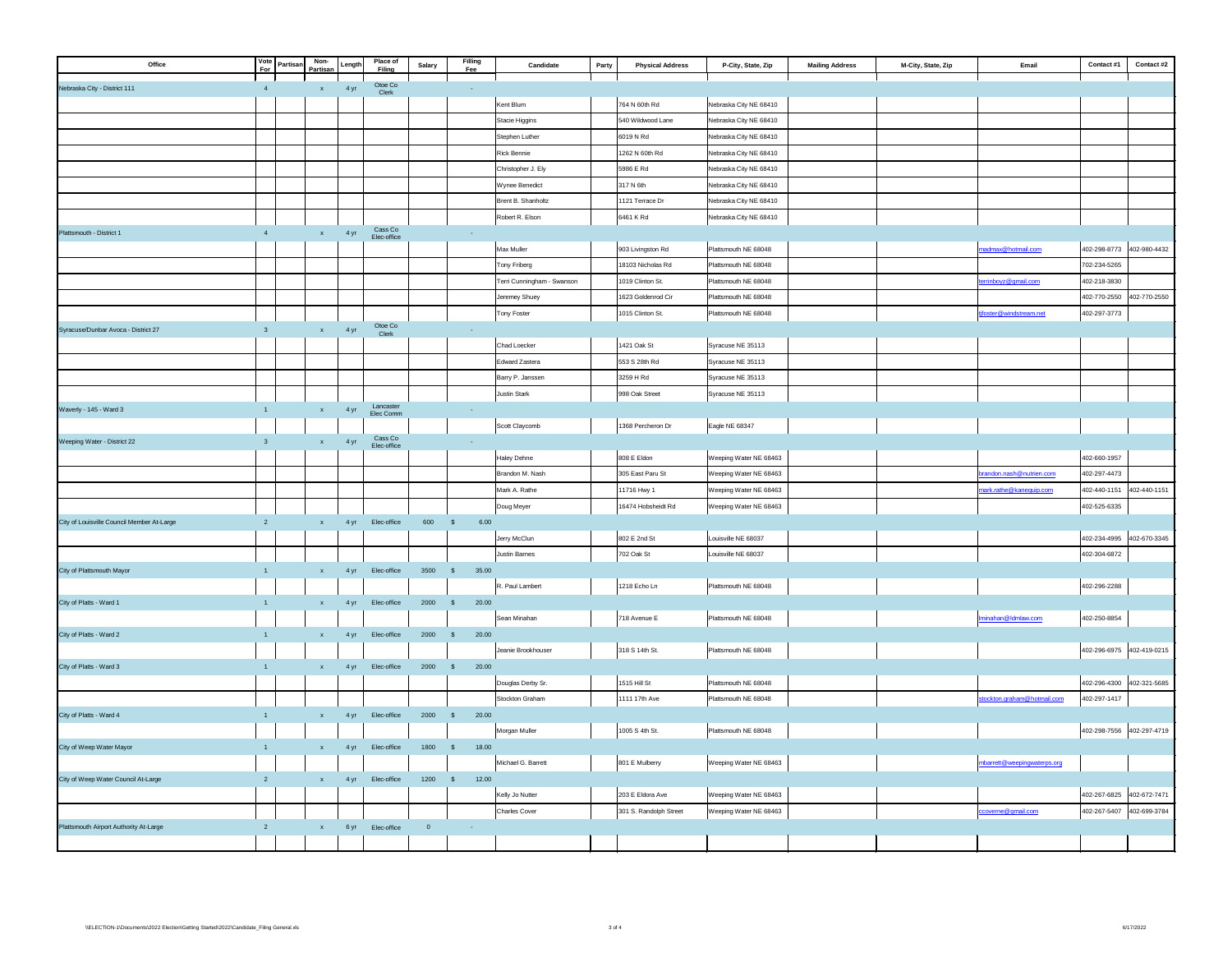| Vote<br>For<br>Office                                    | Partisan | Non-<br>Partisar   | Length | Place of<br>Filing           | Salary      | Filling<br>Fee        | Candidate                  | Party | <b>Physical Address</b> | P-City, State, Zip                         | <b>Mailing Address</b> | M-City, State, Zip | Email                      | Contact #1                | Contact #2   |
|----------------------------------------------------------|----------|--------------------|--------|------------------------------|-------------|-----------------------|----------------------------|-------|-------------------------|--------------------------------------------|------------------------|--------------------|----------------------------|---------------------------|--------------|
| Nebraska City - District 111<br>$\sqrt{4}$               |          | $\mathbf{x}$       | 4 yr   | Otoe Co $\,$                 |             | $\sim$                |                            |       |                         |                                            |                        |                    |                            |                           |              |
|                                                          |          |                    |        | Clerk                        |             |                       | Kent Blum                  |       | 764 N 60th Rd           | Nebraska City NE 68410                     |                        |                    |                            |                           |              |
|                                                          |          |                    |        |                              |             |                       | Stacie Higgins             |       | 540 Wildwood Lane       | Nebraska City NE 68410                     |                        |                    |                            |                           |              |
|                                                          |          |                    |        |                              |             |                       | Stephen Luther             |       | 6019 N Rd               | Nebraska City NE 68410                     |                        |                    |                            |                           |              |
|                                                          |          |                    |        |                              |             |                       | Rick Bennie                |       | 1262 N 60th Rd          | Nebraska City NE 68410                     |                        |                    |                            |                           |              |
|                                                          |          |                    |        |                              |             |                       | Christopher J. Ely         |       | 5986 E Rd               | Nebraska City NE 68410                     |                        |                    |                            |                           |              |
|                                                          |          |                    |        |                              |             |                       | Wynee Benedict             |       | 317 N 6th               | Nebraska City NE 68410                     |                        |                    |                            |                           |              |
|                                                          |          |                    |        |                              |             |                       | Brent B. Shanholtz         |       | 1121 Terrace Dr         | Nebraska City NE 68410                     |                        |                    |                            |                           |              |
|                                                          |          |                    |        |                              |             |                       | Robert R. Elson            |       | 6461 K Rd               | Nebraska City NE 68410                     |                        |                    |                            |                           |              |
| Plattsmouth - District 1<br>4                            |          | $\mathbf{x}$ .     | 4 yr   | $\sf Cass~Co$<br>Elec-office |             | $\sim$                |                            |       |                         |                                            |                        |                    |                            |                           |              |
|                                                          |          |                    |        |                              |             |                       | Max Muller                 |       | 903 Livingston Rd       | Plattsmouth NE 68048                       |                        |                    | nadmax@hotmail.com         | 402-298-8773 402-980-4432 |              |
|                                                          |          |                    |        |                              |             |                       | Tony Friberg               |       | 18103 Nicholas Rd       | Plattsmouth NE 68048                       |                        |                    |                            | 702-234-5265              |              |
|                                                          |          |                    |        |                              |             |                       | Terri Cunningham - Swanson |       | 1019 Clinton St.        | Plattsmouth NE 68048                       |                        |                    | errinboyz@gmail.com        | 402-218-3830              |              |
|                                                          |          |                    |        |                              |             |                       | Jeremey Shuey              |       | 1623 Goldenrod Cir      | Plattsmouth NE 68048                       |                        |                    |                            | 402-770-2550              | 402-770-2550 |
|                                                          |          |                    |        |                              |             |                       | Tony Foster                |       | 1015 Clinton St.        | Plattsmouth NE 68048                       |                        |                    | oster@windstream.net       | 402-297-3773              |              |
| Syracuse/Dunbar Avoca - District 27<br>$\mathbf{3}$      |          | $\mathbf{x}$       | 4 yr   | Otoe Co<br>Clerk             |             | $\sim$                |                            |       |                         |                                            |                        |                    |                            |                           |              |
|                                                          |          |                    |        |                              |             |                       | Chad Loecker               |       | 1421 Oak St             | Syracuse NE 35113                          |                        |                    |                            |                           |              |
|                                                          |          |                    |        |                              |             |                       | Edward Zastera             |       | 553 S 28th Rd           | Syracuse NE 35113                          |                        |                    |                            |                           |              |
|                                                          |          |                    |        |                              |             |                       | Barry P. Janssen           |       | 3259 H Rd               | Syracuse NE 35113                          |                        |                    |                            |                           |              |
|                                                          |          |                    |        |                              |             |                       | <b>Justin Stark</b>        |       | 998 Oak Street          | Syracuse NE 35113                          |                        |                    |                            |                           |              |
| Waverly - 145 - Ward 3<br>$\overline{1}$                 |          | $\mathbf{x}$       | 4 yr   | Lancaster<br>Elec Comm       |             | $\sim$                |                            |       |                         |                                            |                        |                    |                            |                           |              |
|                                                          |          |                    |        | Cass Co                      |             |                       | Scott Claycomb             |       | 1368 Percheron Dr       | Eagle NE 68347                             |                        |                    |                            |                           |              |
| Weeping Water - District 22<br>$\overline{\mathbf{3}}$   |          | $\mathbf{x}$       | 4 yr   | Elec-office                  |             | $\sim$                |                            |       |                         |                                            |                        |                    |                            |                           |              |
|                                                          |          |                    |        |                              |             |                       | Haley Dehne                |       | 808 E Eldon             | Weeping Water NE 68463                     |                        |                    |                            | 402-660-1957              |              |
|                                                          |          |                    |        |                              |             |                       | Brandon M. Nash            |       | 305 East Paru St        | Weeping Water NE 68463                     |                        |                    | vrandon.nash@nutrien.com   | 402-297-4473              |              |
|                                                          |          |                    |        |                              |             |                       | Mark A. Rathe              |       | 11716 Hwy 1             | Weeping Water NE 68463                     |                        |                    | nark.rathe@kanequip.com    | 402-440-1151              | 402-440-1151 |
| City of Louisville Council Member At-Large<br>$\sqrt{2}$ |          | $\bar{\mathbf{x}}$ |        |                              | 600         | 6.00<br>$\mathbb{S}$  | Doug Meyer                 |       | 16474 Hobsheidt Rd      | Weeping Water NE 68463                     |                        |                    |                            | 402-525-6335              |              |
|                                                          |          |                    | 4 yr   | Elec-office                  |             |                       | lerry McClun               |       | 802 E 2nd St            |                                            |                        |                    |                            | 402-234-4995              | 402-670-3345 |
|                                                          |          |                    |        |                              |             |                       | Justin Barnes              |       | 702 Oak St              | Louisville NE 68037<br>Louisville NE 68037 |                        |                    |                            | 402-304-6872              |              |
| City of Plattsmouth Mayor<br>$\overline{1}$              |          |                    | 4 yr   | Elec-office                  | 3500        | 35.00<br>$\mathsf{S}$ |                            |       |                         |                                            |                        |                    |                            |                           |              |
|                                                          |          |                    |        |                              |             |                       | R. Paul Lambert            |       | 1218 Echo Ln            | Plattsmouth NE 68048                       |                        |                    |                            | 402-296-2288              |              |
| City of Platts - Ward 1<br>$\overline{1}$                |          | $\mathbf x$        | 4 yr   | Elec-office                  | 2000        | $\mathbb{S}$<br>20.00 |                            |       |                         |                                            |                        |                    |                            |                           |              |
|                                                          |          |                    |        |                              |             |                       | Sean Minahan               |       | 718 Avenue E            | Plattsmouth NE 68048                       |                        |                    | minahan@Idmlaw.com         | 402-250-8854              |              |
| City of Platts - Ward 2<br>$\overline{1}$                |          | $\bar{\mathbf{x}}$ | 4 yr   | Elec-office                  | 2000        | 20.00<br>$\mathbb{S}$ |                            |       |                         |                                            |                        |                    |                            |                           |              |
|                                                          |          |                    |        |                              |             |                       | Jeanie Brookhouser         |       | 318 S 14th St.          | Plattsmouth NE 68048                       |                        |                    |                            | 402-296-6975 402-419-0215 |              |
| City of Platts - Ward 3<br>$\overline{1}$                |          | $\mathbf{x}$       | 4 yr   | Elec-office                  | 2000        | $\mathbb{S}$<br>20.00 |                            |       |                         |                                            |                        |                    |                            |                           |              |
|                                                          |          |                    |        |                              |             |                       | Douglas Derby Sr.          |       | 1515 Hill St            | Plattsmouth NE 68048                       |                        |                    |                            | 402-296-4300 402-321-5685 |              |
|                                                          |          |                    |        |                              |             |                       | Stockton Graham            |       | 1111 17th Ave           | Plattsmouth NE 68048                       |                        |                    | tockton.graham@hotmail.com | 402-297-1417              |              |
| City of Platts - Ward 4<br>$\mathbf{1}$                  |          | $\mathbf x$        | 4 yr   | Elec-office                  | 2000        | 20.00<br>$\mathbb{S}$ |                            |       |                         |                                            |                        |                    |                            |                           |              |
|                                                          |          |                    |        |                              |             |                       | Morgan Muller              |       | 1005 S 4th St.          | Plattsmouth NE 68048                       |                        |                    |                            | 402-298-7556 402-297-4719 |              |
| City of Weep Water Mayor<br>$\overline{1}$               |          | $\mathbf x$        | 4 yr   | Elec-office                  | 1800        | 18.00<br>$\mathsf{s}$ |                            |       |                         |                                            |                        |                    |                            |                           |              |
|                                                          |          |                    |        |                              |             |                       | Michael G. Barrett         |       | 801 E Mulberry          | Weeping Water NE 68463                     |                        |                    | barrett@weepingwaterps.org |                           |              |
| City of Weep Water Council At-Large<br>$\overline{2}$    |          | $\mathbf x$        | 4 yr   | Elec-office                  | 1200        | 12.00<br>$\mathsf{S}$ |                            |       |                         |                                            |                        |                    |                            |                           |              |
|                                                          |          |                    |        |                              |             |                       | Celly Jo Nutter            |       | 203 E Eldora Ave        | Weeping Water NE 68463                     |                        |                    |                            | 402-267-6825              | 402-672-7471 |
|                                                          |          |                    |        |                              |             |                       | Charles Cover              |       | 301 S. Randolph Street  | Weeping Water NE 68463                     |                        |                    | overne@gmail.com           | 402-267-5407              | 402-699-3784 |
| Plattsmouth Airport Authority At-Large<br>$\overline{2}$ |          | $\mathbf{x}$       | 6 yr   | Elec-office                  | $\mathbf 0$ | $\sim$                |                            |       |                         |                                            |                        |                    |                            |                           |              |
|                                                          |          |                    |        |                              |             |                       |                            |       |                         |                                            |                        |                    |                            |                           |              |